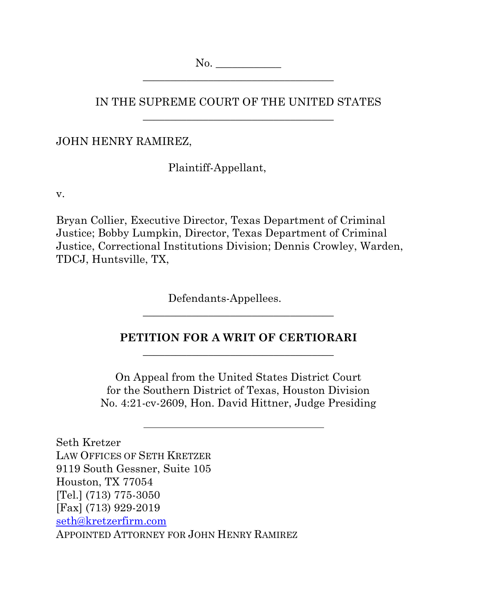No. \_\_\_\_\_\_\_\_\_\_\_\_ \_\_\_\_\_\_\_\_\_\_\_\_\_\_\_\_\_\_\_\_\_\_\_\_\_\_\_\_\_\_\_\_\_\_\_

IN THE SUPREME COURT OF THE UNITED STATES \_\_\_\_\_\_\_\_\_\_\_\_\_\_\_\_\_\_\_\_\_\_\_\_\_\_\_\_\_\_\_\_\_\_\_

JOHN HENRY RAMIREZ,

Plaintiff-Appellant,

v.

Bryan Collier, Executive Director, Texas Department of Criminal Justice; Bobby Lumpkin, Director, Texas Department of Criminal Justice, Correctional Institutions Division; Dennis Crowley, Warden, TDCJ, Huntsville, TX,

Defendants-Appellees.

### **PETITION FOR A WRIT OF CERTIORARI**  \_\_\_\_\_\_\_\_\_\_\_\_\_\_\_\_\_\_\_\_\_\_\_\_\_\_\_\_\_\_\_\_\_\_\_

\_\_\_\_\_\_\_\_\_\_\_\_\_\_\_\_\_\_\_\_\_\_\_\_\_\_\_\_\_\_\_\_\_\_\_

On Appeal from the United States District Court for the Southern District of Texas, Houston Division No. 4:21-cv-2609, Hon. David Hittner, Judge Presiding

Seth Kretzer LAW OFFICES OF SETH KRETZER 9119 South Gessner, Suite 105 Houston, TX 77054 [Tel.] (713) 775-3050 [Fax] (713) 929-2019 seth@kretzerfirm.com APPOINTED ATTORNEY FOR JOHN HENRY RAMIREZ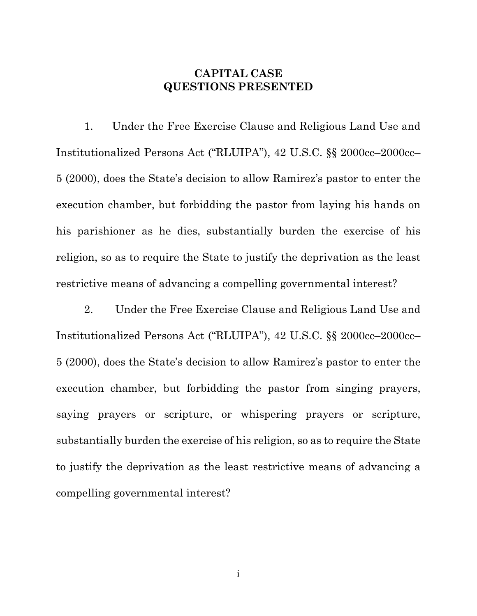### **CAPITAL CASE QUESTIONS PRESENTED**

1. Under the Free Exercise Clause and Religious Land Use and Institutionalized Persons Act ("RLUIPA"), 42 U.S.C. §§ 2000cc–2000cc– 5 (2000), does the State's decision to allow Ramirez's pastor to enter the execution chamber, but forbidding the pastor from laying his hands on his parishioner as he dies, substantially burden the exercise of his religion, so as to require the State to justify the deprivation as the least restrictive means of advancing a compelling governmental interest?

2. Under the Free Exercise Clause and Religious Land Use and Institutionalized Persons Act ("RLUIPA"), 42 U.S.C. §§ 2000cc–2000cc– 5 (2000), does the State's decision to allow Ramirez's pastor to enter the execution chamber, but forbidding the pastor from singing prayers, saying prayers or scripture, or whispering prayers or scripture, substantially burden the exercise of his religion, so as to require the State to justify the deprivation as the least restrictive means of advancing a compelling governmental interest?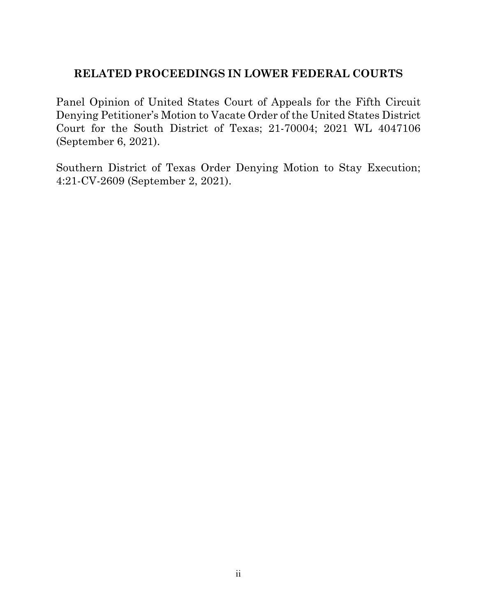## **RELATED PROCEEDINGS IN LOWER FEDERAL COURTS**

Panel Opinion of United States Court of Appeals for the Fifth Circuit Denying Petitioner's Motion to Vacate Order of the United States District Court for the South District of Texas; 21-70004; 2021 WL 4047106 (September 6, 2021).

Southern District of Texas Order Denying Motion to Stay Execution; 4:21-CV-2609 (September 2, 2021).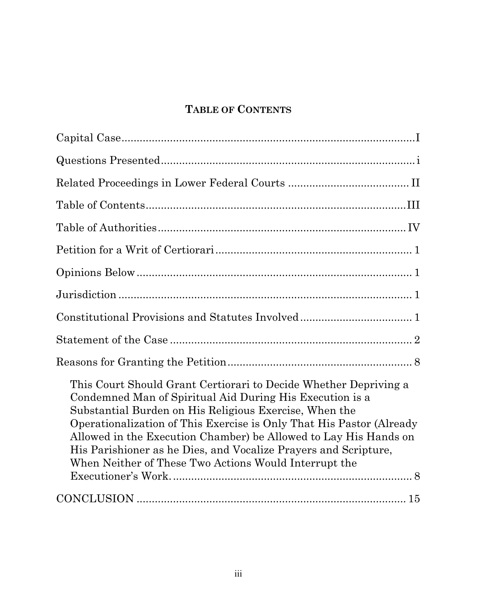# **TABLE OF CONTENTS**

| This Court Should Grant Certiorari to Decide Whether Depriving a<br>Condemned Man of Spiritual Aid During His Execution is a<br>Substantial Burden on His Religious Exercise, When the<br>Operationalization of This Exercise is Only That His Pastor (Already<br>Allowed in the Execution Chamber) be Allowed to Lay His Hands on<br>His Parishioner as he Dies, and Vocalize Prayers and Scripture,<br>When Neither of These Two Actions Would Interrupt the |
|----------------------------------------------------------------------------------------------------------------------------------------------------------------------------------------------------------------------------------------------------------------------------------------------------------------------------------------------------------------------------------------------------------------------------------------------------------------|
|                                                                                                                                                                                                                                                                                                                                                                                                                                                                |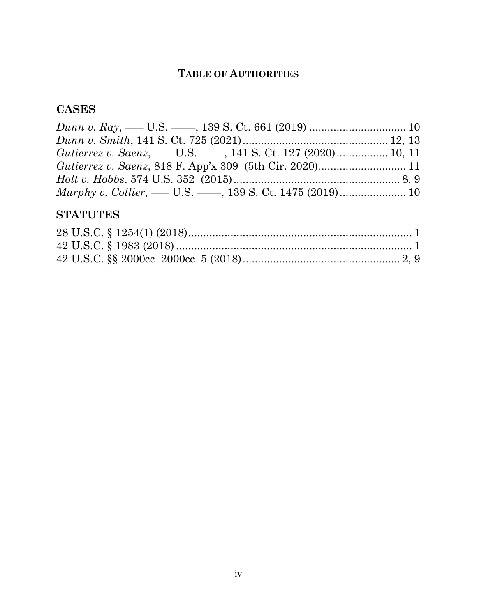## **TABLE OF AUTHORITIES**

## **CASES**

## **STATUTES**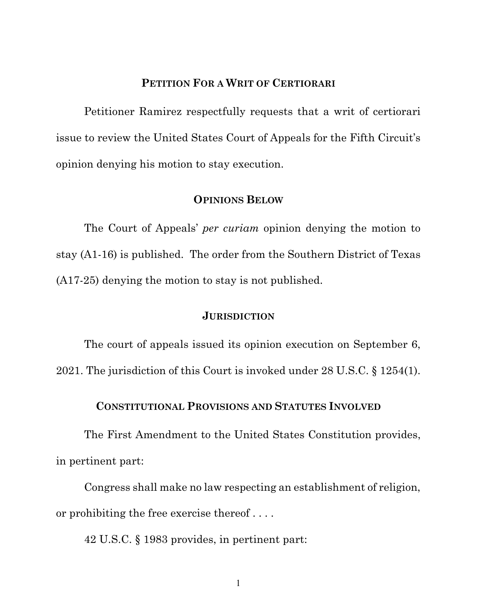### **PETITION FOR A WRIT OF CERTIORARI**

Petitioner Ramirez respectfully requests that a writ of certiorari issue to review the United States Court of Appeals for the Fifth Circuit's opinion denying his motion to stay execution.

#### **OPINIONS BELOW**

The Court of Appeals' *per curiam* opinion denying the motion to stay (A1-16) is published. The order from the Southern District of Texas (A17-25) denying the motion to stay is not published.

#### **JURISDICTION**

The court of appeals issued its opinion execution on September 6, 2021. The jurisdiction of this Court is invoked under 28 U.S.C. § 1254(1).

#### **CONSTITUTIONAL PROVISIONS AND STATUTES INVOLVED**

The First Amendment to the United States Constitution provides, in pertinent part:

Congress shall make no law respecting an establishment of religion, or prohibiting the free exercise thereof . . . .

42 U.S.C. § 1983 provides, in pertinent part:

1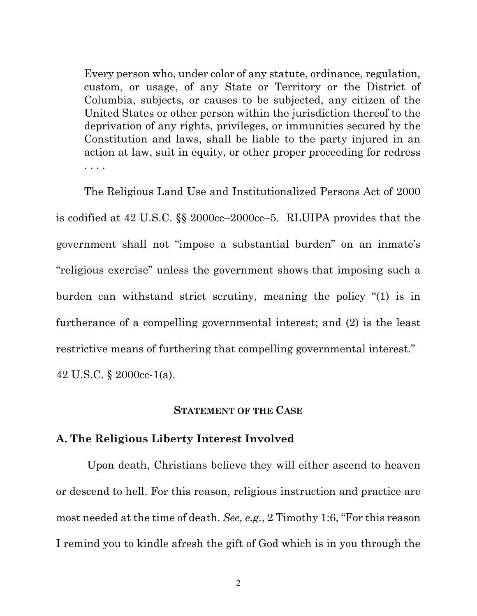Every person who, under color of any statute, ordinance, regulation, custom, or usage, of any State or Territory or the District of Columbia, subjects, or causes to be subjected, any citizen of the United States or other person within the jurisdiction thereof to the deprivation of any rights, privileges, or immunities secured by the Constitution and laws, shall be liable to the party injured in an action at law, suit in equity, or other proper proceeding for redress . . . .

The Religious Land Use and Institutionalized Persons Act of 2000 is codified at 42 U.S.C. §§ 2000cc–2000cc–5. RLUIPA provides that the government shall not "impose a substantial burden" on an inmate's "religious exercise" unless the government shows that imposing such a burden can withstand strict scrutiny, meaning the policy "(1) is in furtherance of a compelling governmental interest; and (2) is the least restrictive means of furthering that compelling governmental interest."

42 U.S.C. § 2000cc-1(a).

#### **STATEMENT OF THE CASE**

#### **A. The Religious Liberty Interest Involved**

Upon death, Christians believe they will either ascend to heaven or descend to hell. For this reason, religious instruction and practice are most needed at the time of death. *See, e.g.*, 2 Timothy 1:6, "For this reason I remind you to kindle afresh the gift of God which is in you through the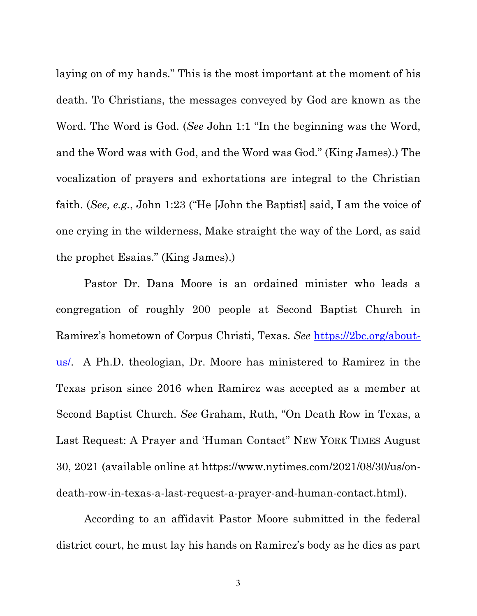laying on of my hands." This is the most important at the moment of his death. To Christians, the messages conveyed by God are known as the Word. The Word is God. (*See* John 1:1 "In the beginning was the Word, and the Word was with God, and the Word was God." (King James).) The vocalization of prayers and exhortations are integral to the Christian faith. (*See, e.g.*, John 1:23 ("He [John the Baptist] said, I am the voice of one crying in the wilderness, Make straight the way of the Lord, as said the prophet Esaias." (King James).)

Pastor Dr. Dana Moore is an ordained minister who leads a congregation of roughly 200 people at Second Baptist Church in Ramirez's hometown of Corpus Christi, Texas. *See* https://2bc.org/aboutus. A Ph.D. theologian, Dr. Moore has ministered to Ramirez in the Texas prison since 2016 when Ramirez was accepted as a member at Second Baptist Church. *See* Graham, Ruth, "On Death Row in Texas, a Last Request: A Prayer and 'Human Contact" NEW YORK TIMES August 30, 2021 (available online at https://www.nytimes.com/2021/08/30/us/ondeath-row-in-texas-a-last-request-a-prayer-and-human-contact.html).

According to an affidavit Pastor Moore submitted in the federal district court, he must lay his hands on Ramirez's body as he dies as part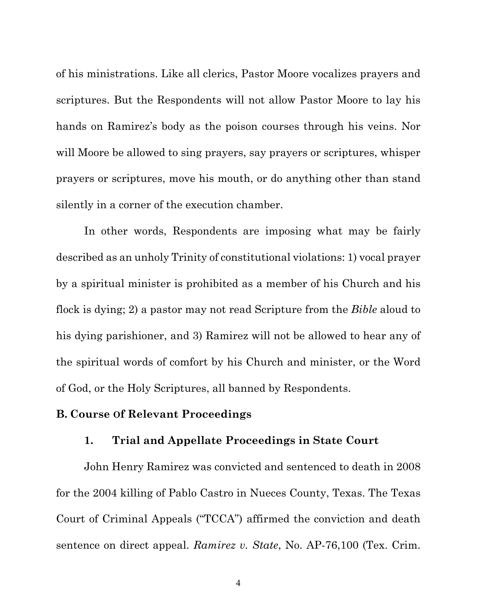of his ministrations. Like all clerics, Pastor Moore vocalizes prayers and scriptures. But the Respondents will not allow Pastor Moore to lay his hands on Ramirez's body as the poison courses through his veins. Nor will Moore be allowed to sing prayers, say prayers or scriptures, whisper prayers or scriptures, move his mouth, or do anything other than stand silently in a corner of the execution chamber.

In other words, Respondents are imposing what may be fairly described as an unholy Trinity of constitutional violations: 1) vocal prayer by a spiritual minister is prohibited as a member of his Church and his flock is dying; 2) a pastor may not read Scripture from the *Bible* aloud to his dying parishioner, and 3) Ramirez will not be allowed to hear any of the spiritual words of comfort by his Church and minister, or the Word of God, or the Holy Scriptures, all banned by Respondents.

#### **B. Course Of Relevant Proceedings**

#### **1. Trial and Appellate Proceedings in State Court**

John Henry Ramirez was convicted and sentenced to death in 2008 for the 2004 killing of Pablo Castro in Nueces County, Texas. The Texas Court of Criminal Appeals ("TCCA") affirmed the conviction and death sentence on direct appeal. *Ramirez v. State*, No. AP-76,100 (Tex. Crim.

4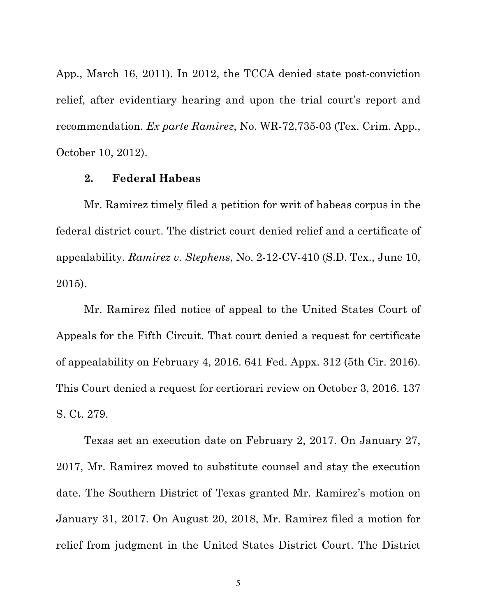App., March 16, 2011). In 2012, the TCCA denied state post-conviction relief, after evidentiary hearing and upon the trial court's report and recommendation. *Ex parte Ramirez*, No. WR-72,735-03 (Tex. Crim. App., October 10, 2012).

#### **2. Federal Habeas**

Mr. Ramirez timely filed a petition for writ of habeas corpus in the federal district court. The district court denied relief and a certificate of appealability. *Ramirez v. Stephens*, No. 2-12-CV-410 (S.D. Tex., June 10, 2015).

Mr. Ramirez filed notice of appeal to the United States Court of Appeals for the Fifth Circuit. That court denied a request for certificate of appealability on February 4, 2016. 641 Fed. Appx. 312 (5th Cir. 2016). This Court denied a request for certiorari review on October 3, 2016. 137 S. Ct. 279.

Texas set an execution date on February 2, 2017. On January 27, 2017, Mr. Ramirez moved to substitute counsel and stay the execution date. The Southern District of Texas granted Mr. Ramirez's motion on January 31, 2017. On August 20, 2018, Mr. Ramirez filed a motion for relief from judgment in the United States District Court. The District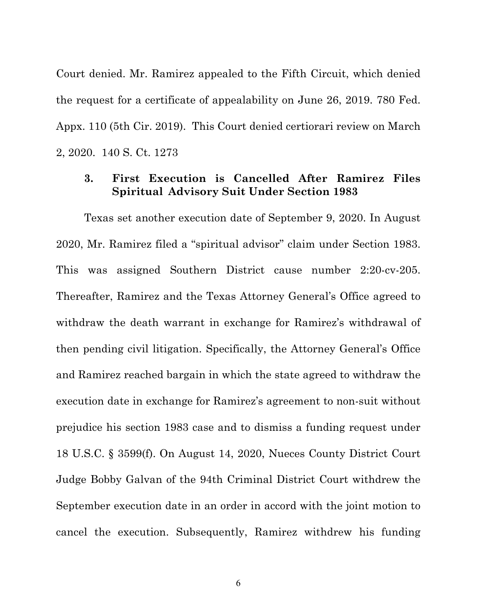Court denied. Mr. Ramirez appealed to the Fifth Circuit, which denied the request for a certificate of appealability on June 26, 2019. 780 Fed. Appx. 110 (5th Cir. 2019). This Court denied certiorari review on March 2, 2020. 140 S. Ct. 1273

### **3. First Execution is Cancelled After Ramirez Files Spiritual Advisory Suit Under Section 1983**

Texas set another execution date of September 9, 2020. In August 2020, Mr. Ramirez filed a "spiritual advisor" claim under Section 1983. This was assigned Southern District cause number 2:20-cv-205. Thereafter, Ramirez and the Texas Attorney General's Office agreed to withdraw the death warrant in exchange for Ramirez's withdrawal of then pending civil litigation. Specifically, the Attorney General's Office and Ramirez reached bargain in which the state agreed to withdraw the execution date in exchange for Ramirez's agreement to non-suit without prejudice his section 1983 case and to dismiss a funding request under 18 U.S.C. § 3599(f). On August 14, 2020, Nueces County District Court Judge Bobby Galvan of the 94th Criminal District Court withdrew the September execution date in an order in accord with the joint motion to cancel the execution. Subsequently, Ramirez withdrew his funding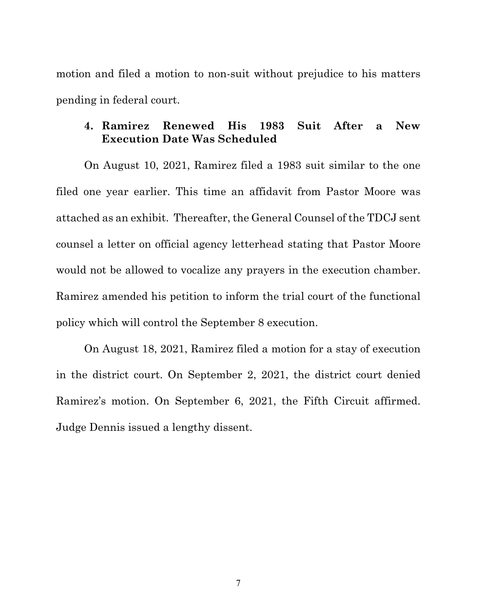motion and filed a motion to non-suit without prejudice to his matters pending in federal court.

### **4. Ramirez Renewed His 1983 Suit After a New Execution Date Was Scheduled**

On August 10, 2021, Ramirez filed a 1983 suit similar to the one filed one year earlier. This time an affidavit from Pastor Moore was attached as an exhibit. Thereafter, the General Counsel of the TDCJ sent counsel a letter on official agency letterhead stating that Pastor Moore would not be allowed to vocalize any prayers in the execution chamber. Ramirez amended his petition to inform the trial court of the functional policy which will control the September 8 execution.

On August 18, 2021, Ramirez filed a motion for a stay of execution in the district court. On September 2, 2021, the district court denied Ramirez's motion. On September 6, 2021, the Fifth Circuit affirmed. Judge Dennis issued a lengthy dissent.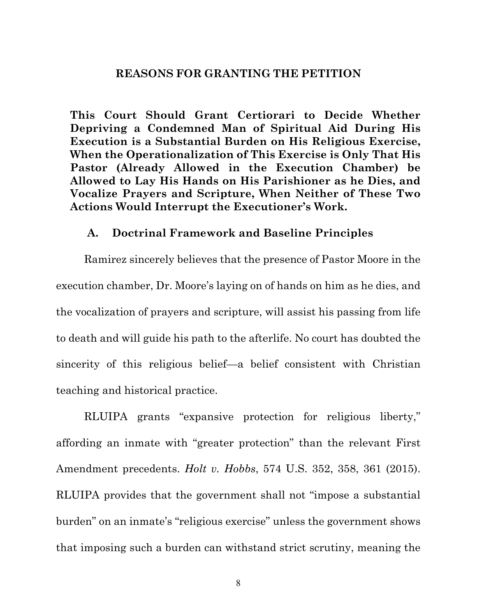#### **REASONS FOR GRANTING THE PETITION**

**This Court Should Grant Certiorari to Decide Whether Depriving a Condemned Man of Spiritual Aid During His Execution is a Substantial Burden on His Religious Exercise, When the Operationalization of This Exercise is Only That His Pastor (Already Allowed in the Execution Chamber) be Allowed to Lay His Hands on His Parishioner as he Dies, and Vocalize Prayers and Scripture, When Neither of These Two Actions Would Interrupt the Executioner's Work.**

#### **A. Doctrinal Framework and Baseline Principles**

Ramirez sincerely believes that the presence of Pastor Moore in the execution chamber, Dr. Moore's laying on of hands on him as he dies, and the vocalization of prayers and scripture, will assist his passing from life to death and will guide his path to the afterlife. No court has doubted the sincerity of this religious belief—a belief consistent with Christian teaching and historical practice.

RLUIPA grants "expansive protection for religious liberty," affording an inmate with "greater protection" than the relevant First Amendment precedents. *Holt v. Hobbs*, 574 U.S. 352, 358, 361 (2015). RLUIPA provides that the government shall not "impose a substantial burden" on an inmate's "religious exercise" unless the government shows that imposing such a burden can withstand strict scrutiny, meaning the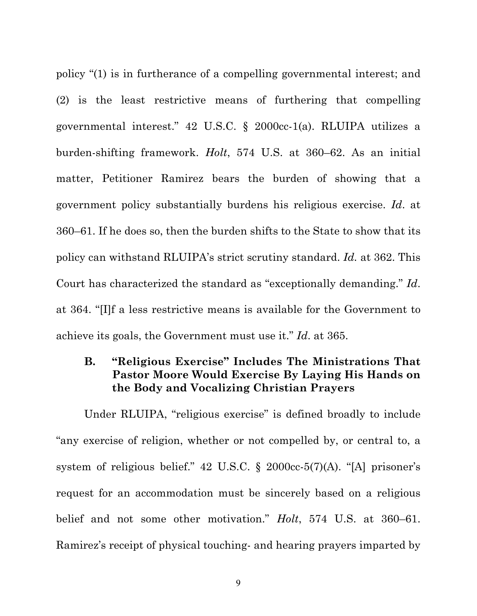policy "(1) is in furtherance of a compelling governmental interest; and (2) is the least restrictive means of furthering that compelling governmental interest." 42 U.S.C. § 2000cc-1(a). RLUIPA utilizes a burden-shifting framework. *Holt*, 574 U.S. at 360–62. As an initial matter, Petitioner Ramirez bears the burden of showing that a government policy substantially burdens his religious exercise. *Id*. at 360–61. If he does so, then the burden shifts to the State to show that its policy can withstand RLUIPA's strict scrutiny standard. *Id.* at 362. This Court has characterized the standard as "exceptionally demanding." *Id*. at 364. "[I]f a less restrictive means is available for the Government to achieve its goals, the Government must use it." *Id*. at 365.

### **B. "Religious Exercise" Includes The Ministrations That Pastor Moore Would Exercise By Laying His Hands on the Body and Vocalizing Christian Prayers**

Under RLUIPA, "religious exercise" is defined broadly to include "any exercise of religion, whether or not compelled by, or central to, a system of religious belief." 42 U.S.C. § 2000cc-5(7)(A). "[A] prisoner's request for an accommodation must be sincerely based on a religious belief and not some other motivation." *Holt*, 574 U.S. at 360–61. Ramirez's receipt of physical touching- and hearing prayers imparted by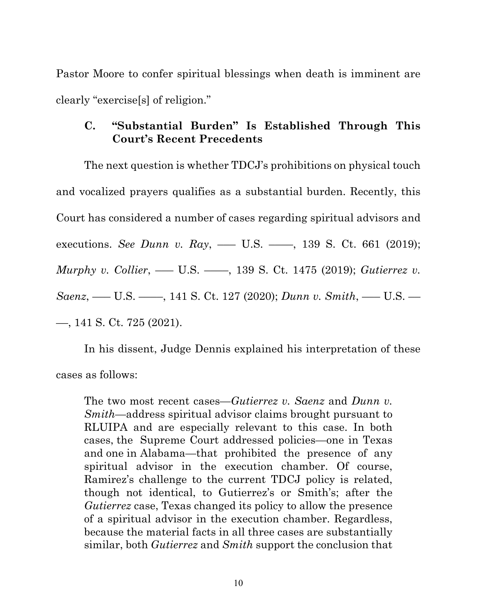Pastor Moore to confer spiritual blessings when death is imminent are clearly "exercise[s] of religion."

## **C. "Substantial Burden" Is Established Through This Court's Recent Precedents**

The next question is whether TDCJ's prohibitions on physical touch and vocalized prayers qualifies as a substantial burden. Recently, this Court has considered a number of cases regarding spiritual advisors and executions. *See Dunn v. Ray*, — U.S. — , 139 S. Ct. 661 (2019); *Murphy v. Collier*, — U.S. — , 139 S. Ct. 1475 (2019); *Gutierrez v. Saenz*, ––– U.S. ––––, 141 S. Ct. 127 (2020); *Dunn v. Smith*, ––– U.S. –– ––, 141 S. Ct. 725 (2021).

In his dissent, Judge Dennis explained his interpretation of these cases as follows:

The two most recent cases—*Gutierrez v. Saenz* and *Dunn v. Smith*—address spiritual advisor claims brought pursuant to RLUIPA and are especially relevant to this case. In both cases, the Supreme Court addressed policies—one in Texas and one in Alabama—that prohibited the presence of any spiritual advisor in the execution chamber. Of course, Ramirez's challenge to the current TDCJ policy is related, though not identical, to Gutierrez's or Smith's; after the *Gutierrez* case, Texas changed its policy to allow the presence of a spiritual advisor in the execution chamber. Regardless, because the material facts in all three cases are substantially similar, both *Gutierrez* and *Smith* support the conclusion that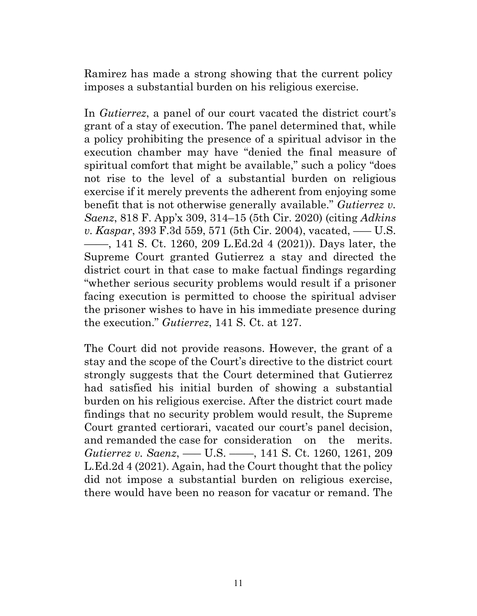Ramirez has made a strong showing that the current policy imposes a substantial burden on his religious exercise.

In *Gutierrez*, a panel of our court vacated the district court's grant of a stay of execution. The panel determined that, while a policy prohibiting the presence of a spiritual advisor in the execution chamber may have "denied the final measure of spiritual comfort that might be available," such a policy "does not rise to the level of a substantial burden on religious exercise if it merely prevents the adherent from enjoying some benefit that is not otherwise generally available." *Gutierrez v. Saenz*, 818 F. App'x 309, 314–15 (5th Cir. 2020) (citing *Adkins v. Kaspar*, 393 F.3d 559, 571 (5th Cir. 2004), vacated, ––– U.S. ––––, 141 S. Ct. 1260, 209 L.Ed.2d 4 (2021)). Days later, the Supreme Court granted Gutierrez a stay and directed the district court in that case to make factual findings regarding "whether serious security problems would result if a prisoner facing execution is permitted to choose the spiritual adviser the prisoner wishes to have in his immediate presence during the execution." *Gutierrez*, 141 S. Ct. at 127.

The Court did not provide reasons. However, the grant of a stay and the scope of the Court's directive to the district court strongly suggests that the Court determined that Gutierrez had satisfied his initial burden of showing a substantial burden on his religious exercise. After the district court made findings that no security problem would result, the Supreme Court granted certiorari, vacated our court's panel decision, and remanded the case for consideration on the merits. *Gutierrez v. Saenz*, — U.S. — , 141 S. Ct. 1260, 1261, 209 L.Ed.2d 4 (2021). Again, had the Court thought that the policy did not impose a substantial burden on religious exercise, there would have been no reason for vacatur or remand. The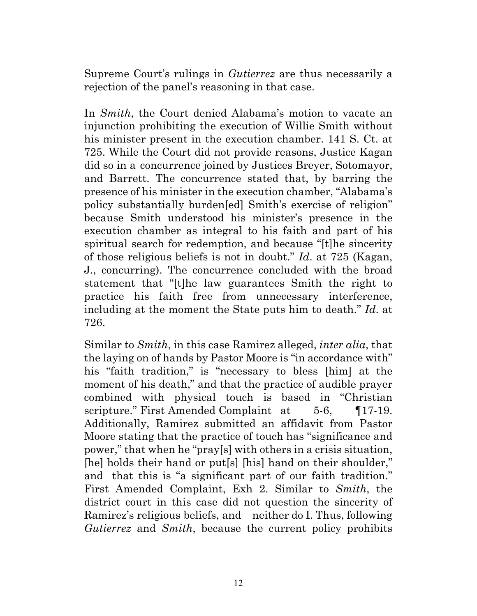Supreme Court's rulings in *Gutierrez* are thus necessarily a rejection of the panel's reasoning in that case.

In *Smith*, the Court denied Alabama's motion to vacate an injunction prohibiting the execution of Willie Smith without his minister present in the execution chamber. 141 S. Ct. at 725. While the Court did not provide reasons, Justice Kagan did so in a concurrence joined by Justices Breyer, Sotomayor, and Barrett. The concurrence stated that, by barring the presence of his minister in the execution chamber, "Alabama's policy substantially burden[ed] Smith's exercise of religion" because Smith understood his minister's presence in the execution chamber as integral to his faith and part of his spiritual search for redemption, and because "[t]he sincerity of those religious beliefs is not in doubt." *Id*. at 725 (Kagan, J., concurring). The concurrence concluded with the broad statement that "[t]he law guarantees Smith the right to practice his faith free from unnecessary interference, including at the moment the State puts him to death." *Id*. at 726.

Similar to *Smith*, in this case Ramirez alleged, *inter alia*, that the laying on of hands by Pastor Moore is "in accordance with" his "faith tradition," is "necessary to bless [him] at the moment of his death," and that the practice of audible prayer combined with physical touch is based in "Christian scripture." First Amended Complaint at 5-6, 117-19. Additionally, Ramirez submitted an affidavit from Pastor Moore stating that the practice of touch has "significance and power," that when he "pray[s] with others in a crisis situation, [he] holds their hand or put[s] [his] hand on their shoulder," and that this is "a significant part of our faith tradition." First Amended Complaint, Exh 2. Similar to *Smith*, the district court in this case did not question the sincerity of Ramirez's religious beliefs, and neither do I. Thus, following *Gutierrez* and *Smith*, because the current policy prohibits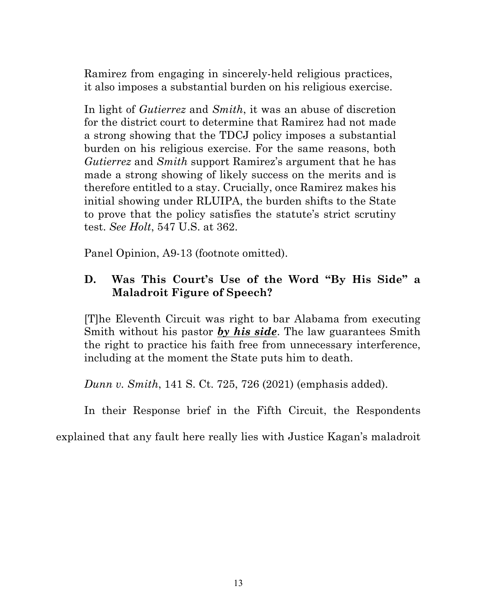Ramirez from engaging in sincerely-held religious practices, it also imposes a substantial burden on his religious exercise.

In light of *Gutierrez* and *Smith*, it was an abuse of discretion for the district court to determine that Ramirez had not made a strong showing that the TDCJ policy imposes a substantial burden on his religious exercise. For the same reasons, both *Gutierrez* and *Smith* support Ramirez's argument that he has made a strong showing of likely success on the merits and is therefore entitled to a stay. Crucially, once Ramirez makes his initial showing under RLUIPA, the burden shifts to the State to prove that the policy satisfies the statute's strict scrutiny test. *See Holt*, 547 U.S. at 362.

Panel Opinion, A9-13 (footnote omitted).

## **D. Was This Court's Use of the Word "By His Side" a Maladroit Figure of Speech?**

[T]he Eleventh Circuit was right to bar Alabama from executing Smith without his pastor *by his side*. The law guarantees Smith the right to practice his faith free from unnecessary interference, including at the moment the State puts him to death.

*Dunn v. Smith*, 141 S. Ct. 725, 726 (2021) (emphasis added).

In their Response brief in the Fifth Circuit, the Respondents

explained that any fault here really lies with Justice Kagan's maladroit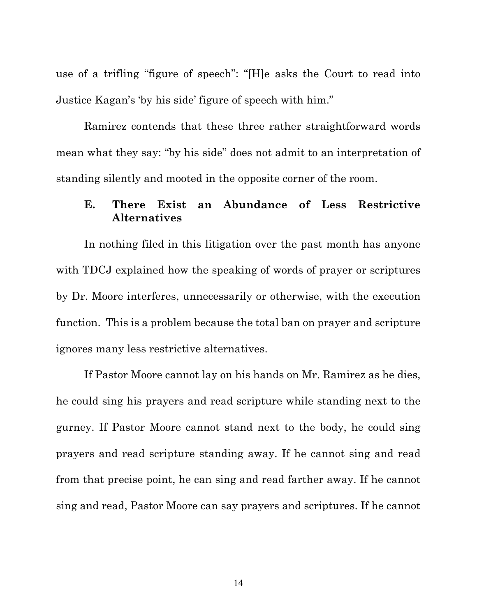use of a trifling "figure of speech": "[H]e asks the Court to read into Justice Kagan's 'by his side' figure of speech with him."

Ramirez contends that these three rather straightforward words mean what they say: "by his side" does not admit to an interpretation of standing silently and mooted in the opposite corner of the room.

### **E. There Exist an Abundance of Less Restrictive Alternatives**

In nothing filed in this litigation over the past month has anyone with TDCJ explained how the speaking of words of prayer or scriptures by Dr. Moore interferes, unnecessarily or otherwise, with the execution function. This is a problem because the total ban on prayer and scripture ignores many less restrictive alternatives.

If Pastor Moore cannot lay on his hands on Mr. Ramirez as he dies, he could sing his prayers and read scripture while standing next to the gurney. If Pastor Moore cannot stand next to the body, he could sing prayers and read scripture standing away. If he cannot sing and read from that precise point, he can sing and read farther away. If he cannot sing and read, Pastor Moore can say prayers and scriptures. If he cannot